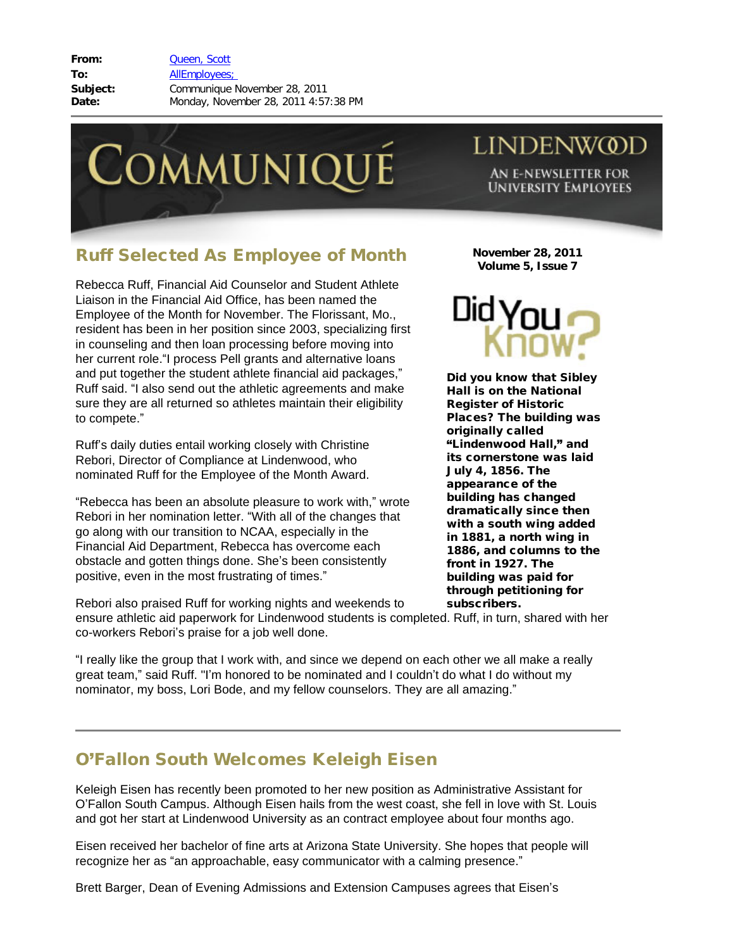**From:** [Queen, Scott](mailto:/O=LINDENWOOD UNIVERSITY/OU=LINDENWOOD/CN=RECIPIENTS/CN=SQUEEN) **To:** [AllEmployees;](mailto:/O=LINDENWOOD UNIVERSITY/OU=LINDENWOOD/cn=Recipients/cn=allemployees)  **Subject:** Communique November 28, 2011 **Date:** Monday, November 28, 2011 4:57:38 PM



## **LINDENWOD**

AN E-NEWSLETTER FOR **UNIVERSITY EMPLOYEES** 

## Ruff Selected As Employee of Month

Rebecca Ruff, Financial Aid Counselor and Student Athlete Liaison in the Financial Aid Office, has been named the Employee of the Month for November. The Florissant, Mo., resident has been in her position since 2003, specializing first in counseling and then loan processing before moving into her current role."I process Pell grants and alternative loans and put together the student athlete financial aid packages," Ruff said. "I also send out the athletic agreements and make sure they are all returned so athletes maintain their eligibility to compete."

Ruff's daily duties entail working closely with Christine Rebori, Director of Compliance at Lindenwood, who nominated Ruff for the Employee of the Month Award.

"Rebecca has been an absolute pleasure to work with," wrote Rebori in her nomination letter. "With all of the changes that go along with our transition to NCAA, especially in the Financial Aid Department, Rebecca has overcome each obstacle and gotten things done. She's been consistently positive, even in the most frustrating of times."

Rebori also praised Ruff for working nights and weekends to

**November 28, 2011 Volume 5, Issue 7**



Did you know that Sibley Hall is on the National Register of Historic Places? The building was originally called "Lindenwood Hall," and its cornerstone was laid July 4, 1856. The appearance of the building has changed dramatically since then with a south wing added in 1881, a north wing in 1886, and columns to the front in 1927. The building was paid for through petitioning for subscribers.

ensure athletic aid paperwork for Lindenwood students is completed. Ruff, in turn, shared with her co-workers Rebori's praise for a job well done.

"I really like the group that I work with, and since we depend on each other we all make a really great team," said Ruff. "I'm honored to be nominated and I couldn't do what I do without my nominator, my boss, Lori Bode, and my fellow counselors. They are all amazing."

## O'Fallon South Welcomes Keleigh Eisen

Keleigh Eisen has recently been promoted to her new position as Administrative Assistant for O'Fallon South Campus. Although Eisen hails from the west coast, she fell in love with St. Louis and got her start at Lindenwood University as an contract employee about four months ago.

Eisen received her bachelor of fine arts at Arizona State University. She hopes that people will recognize her as "an approachable, easy communicator with a calming presence."

Brett Barger, Dean of Evening Admissions and Extension Campuses agrees that Eisen's